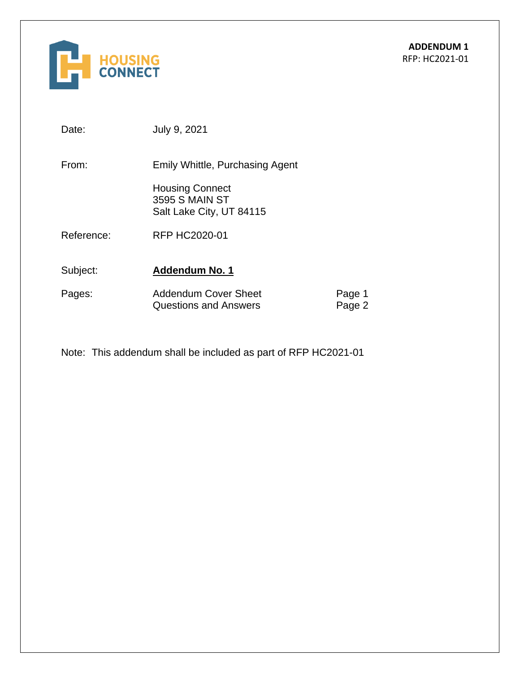

Date: July 9, 2021

From: Emily Whittle, Purchasing Agent

Housing Connect 3595 S MAIN ST Salt Lake City, UT 84115

Reference: RFP HC2020-01

Subject: **Addendum No. 1** 

| Pages: | <b>Addendum Cover Sheet</b> | Page 1 |
|--------|-----------------------------|--------|
|        | Questions and Answers       | Page 2 |

Note: This addendum shall be included as part of RFP HC2021-01